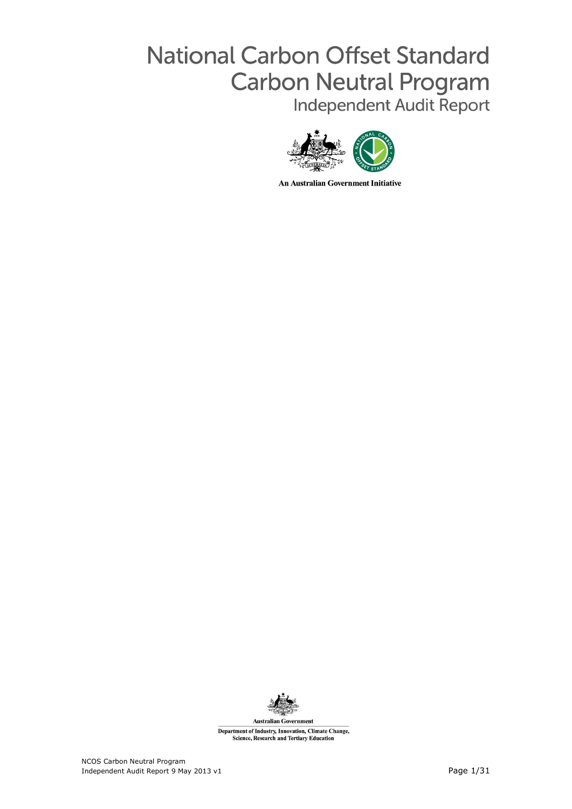# **National Carbon Offset Standard Carbon Neutral Program** Independent Audit Report



**An Australian Government Initiative** 



Department of Industry, Innovation, Climate Change, **Science, Research and Tertiary Education**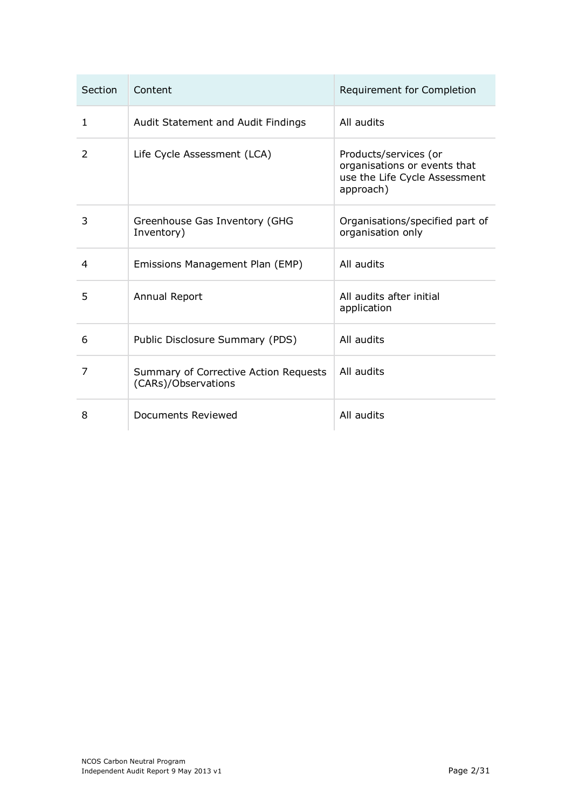| Section      | Content                                                      | Requirement for Completion                                                                          |
|--------------|--------------------------------------------------------------|-----------------------------------------------------------------------------------------------------|
| $\mathbf{1}$ | Audit Statement and Audit Findings                           | All audits                                                                                          |
| 2            | Life Cycle Assessment (LCA)                                  | Products/services (or<br>organisations or events that<br>use the Life Cycle Assessment<br>approach) |
| 3            | Greenhouse Gas Inventory (GHG<br>Inventory)                  | Organisations/specified part of<br>organisation only                                                |
| 4            | Emissions Management Plan (EMP)                              | All audits                                                                                          |
| 5            | Annual Report                                                | All audits after initial<br>application                                                             |
| 6            | Public Disclosure Summary (PDS)                              | All audits                                                                                          |
| 7            | Summary of Corrective Action Requests<br>(CARs)/Observations | All audits                                                                                          |
| 8            | Documents Reviewed                                           | All audits                                                                                          |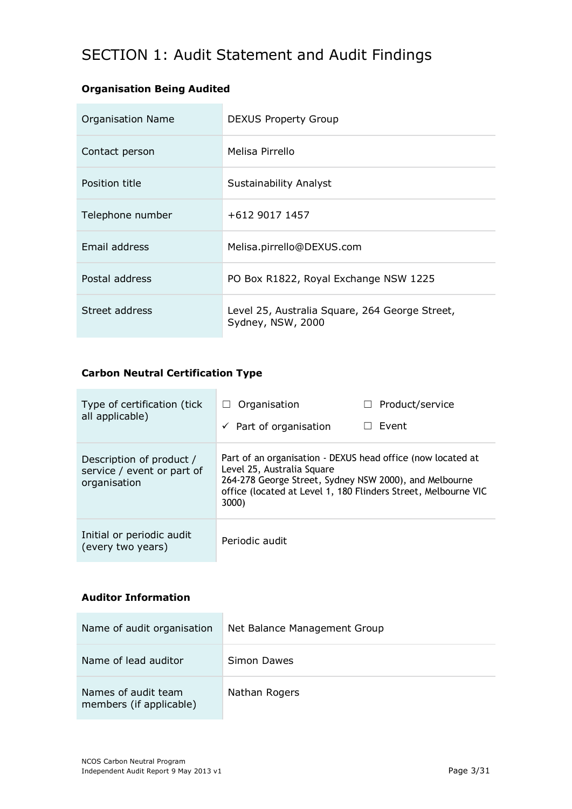## SECTION 1: Audit Statement and Audit Findings

### **Organisation Being Audited**

| <b>Organisation Name</b> | <b>DEXUS Property Group</b>                                         |  |
|--------------------------|---------------------------------------------------------------------|--|
| Contact person           | Melisa Pirrello                                                     |  |
| Position title           | Sustainability Analyst                                              |  |
| Telephone number         | +612 9017 1457                                                      |  |
| Email address            | Melisa.pirrello@DEXUS.com                                           |  |
| Postal address           | PO Box R1822, Royal Exchange NSW 1225                               |  |
| Street address           | Level 25, Australia Square, 264 George Street,<br>Sydney, NSW, 2000 |  |

### **Carbon Neutral Certification Type**

 $\mathcal{L}_{\mathcal{A}}$ 

ń

| Type of certification (tick)<br>all applicable)                        | Organisation<br>$\perp$<br>$\checkmark$ Part of organisation                                                                                                                                                                   | Product/service<br>Event |
|------------------------------------------------------------------------|--------------------------------------------------------------------------------------------------------------------------------------------------------------------------------------------------------------------------------|--------------------------|
| Description of product /<br>service / event or part of<br>organisation | Part of an organisation - DEXUS head office (now located at<br>Level 25, Australia Square<br>264-278 George Street, Sydney NSW 2000), and Melbourne<br>office (located at Level 1, 180 Flinders Street, Melbourne VIC<br>3000) |                          |
| Initial or periodic audit<br>(every two years)                         | Periodic audit                                                                                                                                                                                                                 |                          |

### **Auditor Information**

| Name of audit organisation                     | Net Balance Management Group |  |
|------------------------------------------------|------------------------------|--|
| Name of lead auditor                           | Simon Dawes                  |  |
| Names of audit team<br>members (if applicable) | Nathan Rogers                |  |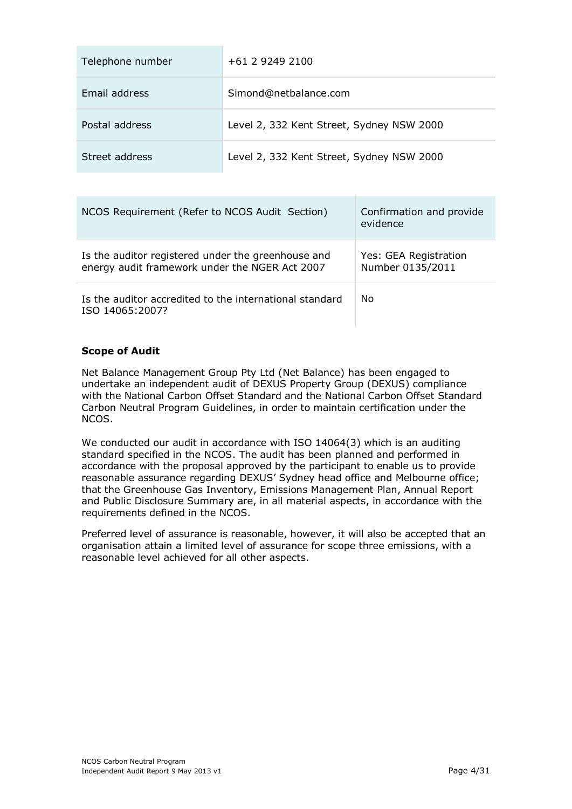| Telephone number | +61 2 9249 2100                           |
|------------------|-------------------------------------------|
| Email address    | Simond@netbalance.com                     |
| Postal address   | Level 2, 332 Kent Street, Sydney NSW 2000 |
| Street address   | Level 2, 332 Kent Street, Sydney NSW 2000 |

| NCOS Requirement (Refer to NCOS Audit Section)                                                       | Confirmation and provide<br>evidence      |
|------------------------------------------------------------------------------------------------------|-------------------------------------------|
| Is the auditor registered under the greenhouse and<br>energy audit framework under the NGER Act 2007 | Yes: GEA Registration<br>Number 0135/2011 |
| Is the auditor accredited to the international standard<br>ISO 14065:2007?                           | No                                        |

### **Scope of Audit**

Net Balance Management Group Pty Ltd (Net Balance) has been engaged to undertake an independent audit of DEXUS Property Group (DEXUS) compliance with the National Carbon Offset Standard and the National Carbon Offset Standard Carbon Neutral Program Guidelines, in order to maintain certification under the NCOS.

We conducted our audit in accordance with ISO 14064(3) which is an auditing standard specified in the NCOS. The audit has been planned and performed in accordance with the proposal approved by the participant to enable us to provide reasonable assurance regarding DEXUS' Sydney head office and Melbourne office; that the Greenhouse Gas Inventory, Emissions Management Plan, Annual Report and Public Disclosure Summary are, in all material aspects, in accordance with the requirements defined in the NCOS.

Preferred level of assurance is reasonable, however, it will also be accepted that an organisation attain a limited level of assurance for scope three emissions, with a reasonable level achieved for all other aspects.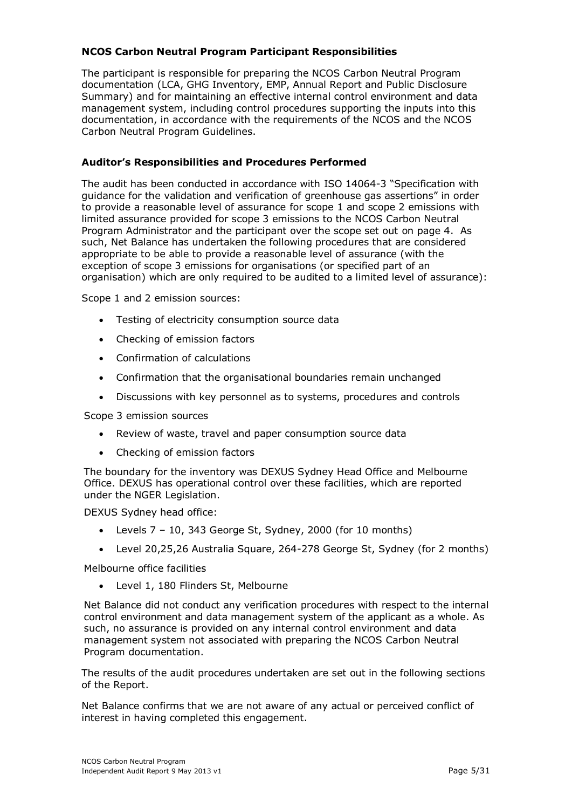#### **NCOS Carbon Neutral Program Participant Responsibilities**

The participant is responsible for preparing the NCOS Carbon Neutral Program documentation (LCA, GHG Inventory, EMP, Annual Report and Public Disclosure Summary) and for maintaining an effective internal control environment and data management system, including control procedures supporting the inputs into this documentation, in accordance with the requirements of the NCOS and the NCOS Carbon Neutral Program Guidelines.

#### **Auditor's Responsibilities and Procedures Performed**

The audit has been conducted in accordance with ISO 14064-3 "Specification with guidance for the validation and verification of greenhouse gas assertions" in order to provide a reasonable level of assurance for scope 1 and scope 2 emissions with limited assurance provided for scope 3 emissions to the NCOS Carbon Neutral Program Administrator and the participant over the scope set out on page 4. As such, Net Balance has undertaken the following procedures that are considered appropriate to be able to provide a reasonable level of assurance (with the exception of scope 3 emissions for organisations (or specified part of an organisation) which are only required to be audited to a limited level of assurance):

Scope 1 and 2 emission sources:

- Testing of electricity consumption source data
- Checking of emission factors
- Confirmation of calculations
- Confirmation that the organisational boundaries remain unchanged
- Discussions with key personnel as to systems, procedures and controls

Scope 3 emission sources

- Review of waste, travel and paper consumption source data
- Checking of emission factors

The boundary for the inventory was DEXUS Sydney Head Office and Melbourne Office. DEXUS has operational control over these facilities, which are reported under the NGER Legislation.

DEXUS Sydney head office:

- Levels 7 10, 343 George St, Sydney, 2000 (for 10 months)
- Level 20,25,26 Australia Square, 264-278 George St, Sydney (for 2 months)

Melbourne office facilities

Level 1, 180 Flinders St, Melbourne

Net Balance did not conduct any verification procedures with respect to the internal control environment and data management system of the applicant as a whole. As such, no assurance is provided on any internal control environment and data management system not associated with preparing the NCOS Carbon Neutral Program documentation.

The results of the audit procedures undertaken are set out in the following sections of the Report.

Net Balance confirms that we are not aware of any actual or perceived conflict of interest in having completed this engagement.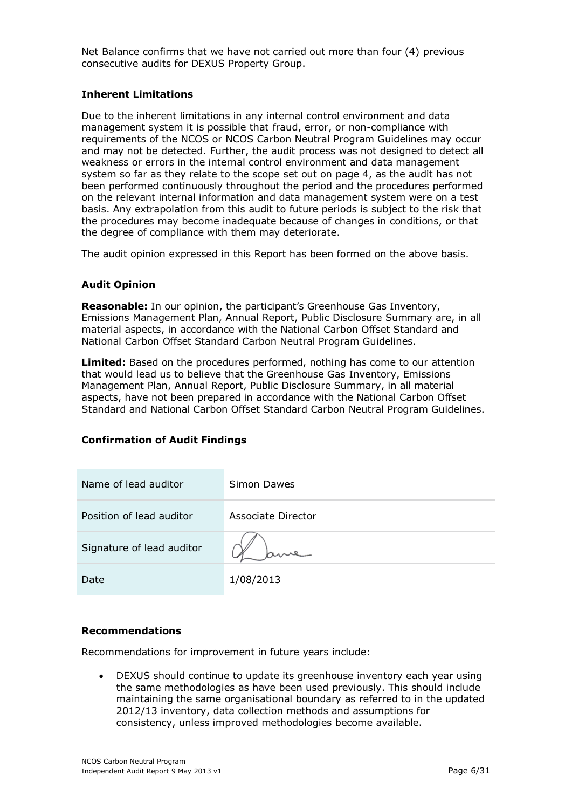Net Balance confirms that we have not carried out more than four (4) previous consecutive audits for DEXUS Property Group.

#### **Inherent Limitations**

Due to the inherent limitations in any internal control environment and data management system it is possible that fraud, error, or non-compliance with requirements of the NCOS or NCOS Carbon Neutral Program Guidelines may occur and may not be detected. Further, the audit process was not designed to detect all weakness or errors in the internal control environment and data management system so far as they relate to the scope set out on page 4, as the audit has not been performed continuously throughout the period and the procedures performed on the relevant internal information and data management system were on a test basis. Any extrapolation from this audit to future periods is subject to the risk that the procedures may become inadequate because of changes in conditions, or that the degree of compliance with them may deteriorate.

The audit opinion expressed in this Report has been formed on the above basis.

#### **Audit Opinion**

**Reasonable:** In our opinion, the participant's Greenhouse Gas Inventory, Emissions Management Plan, Annual Report, Public Disclosure Summary are, in all material aspects, in accordance with the National Carbon Offset Standard and National Carbon Offset Standard Carbon Neutral Program Guidelines.

**Limited:** Based on the procedures performed, nothing has come to our attention that would lead us to believe that the Greenhouse Gas Inventory, Emissions Management Plan, Annual Report, Public Disclosure Summary, in all material aspects, have not been prepared in accordance with the National Carbon Offset Standard and National Carbon Offset Standard Carbon Neutral Program Guidelines.

#### **Confirmation of Audit Findings**

| Name of lead auditor      | Simon Dawes        |
|---------------------------|--------------------|
| Position of lead auditor  | Associate Director |
| Signature of lead auditor |                    |
| Date                      | 1/08/2013          |

#### **Recommendations**

Recommendations for improvement in future years include:

 DEXUS should continue to update its greenhouse inventory each year using the same methodologies as have been used previously. This should include maintaining the same organisational boundary as referred to in the updated 2012/13 inventory, data collection methods and assumptions for consistency, unless improved methodologies become available.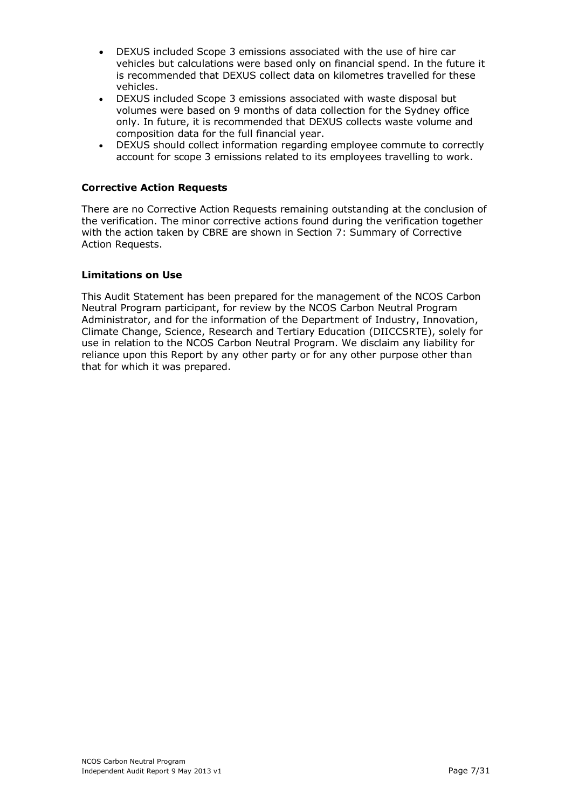- DEXUS included Scope 3 emissions associated with the use of hire car vehicles but calculations were based only on financial spend. In the future it is recommended that DEXUS collect data on kilometres travelled for these vehicles.
- DEXUS included Scope 3 emissions associated with waste disposal but volumes were based on 9 months of data collection for the Sydney office only. In future, it is recommended that DEXUS collects waste volume and composition data for the full financial year.
- DEXUS should collect information regarding employee commute to correctly account for scope 3 emissions related to its employees travelling to work.

### **Corrective Action Requests**

There are no Corrective Action Requests remaining outstanding at the conclusion of the verification. The minor corrective actions found during the verification together with the action taken by CBRE are shown in Section 7: Summary of Corrective Action Requests.

#### **Limitations on Use**

This Audit Statement has been prepared for the management of the NCOS Carbon Neutral Program participant, for review by the NCOS Carbon Neutral Program Administrator, and for the information of the Department of Industry, Innovation, Climate Change, Science, Research and Tertiary Education (DIICCSRTE), solely for use in relation to the NCOS Carbon Neutral Program. We disclaim any liability for reliance upon this Report by any other party or for any other purpose other than that for which it was prepared.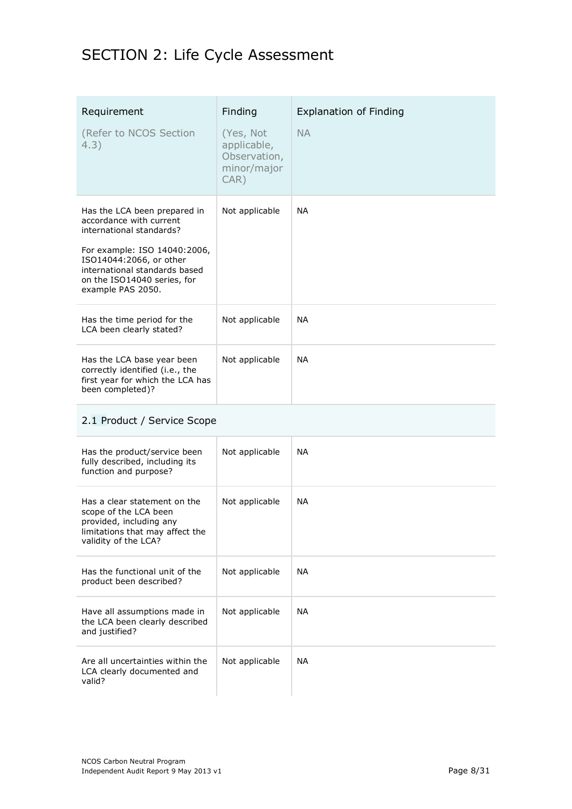## SECTION 2: Life Cycle Assessment

| Requirement<br>(Refer to NCOS Section<br>4.3)                                                                                                                                                                                       | Finding<br>(Yes, Not<br>applicable,<br>Observation,<br>minor/major<br>$CAR$ ) | <b>Explanation of Finding</b><br><b>NA</b> |
|-------------------------------------------------------------------------------------------------------------------------------------------------------------------------------------------------------------------------------------|-------------------------------------------------------------------------------|--------------------------------------------|
| Has the LCA been prepared in<br>accordance with current<br>international standards?<br>For example: ISO 14040:2006,<br>ISO14044:2066, or other<br>international standards based<br>on the ISO14040 series, for<br>example PAS 2050. | Not applicable                                                                | <b>NA</b>                                  |
| Has the time period for the<br>LCA been clearly stated?                                                                                                                                                                             | Not applicable                                                                | <b>NA</b>                                  |
| Has the LCA base year been<br>correctly identified (i.e., the<br>first year for which the LCA has<br>been completed)?                                                                                                               | Not applicable                                                                | <b>NA</b>                                  |

## 2.1 Product / Service Scope

| Has the product/service been<br>fully described, including its<br>function and purpose?                                                     | Not applicable | <b>NA</b> |
|---------------------------------------------------------------------------------------------------------------------------------------------|----------------|-----------|
| Has a clear statement on the<br>scope of the LCA been<br>provided, including any<br>limitations that may affect the<br>validity of the LCA? | Not applicable | <b>NA</b> |
| Has the functional unit of the<br>product been described?                                                                                   | Not applicable | <b>NA</b> |
| Have all assumptions made in<br>the LCA been clearly described<br>and justified?                                                            | Not applicable | <b>NA</b> |
| Are all uncertainties within the<br>LCA clearly documented and<br>valid?                                                                    | Not applicable | <b>NA</b> |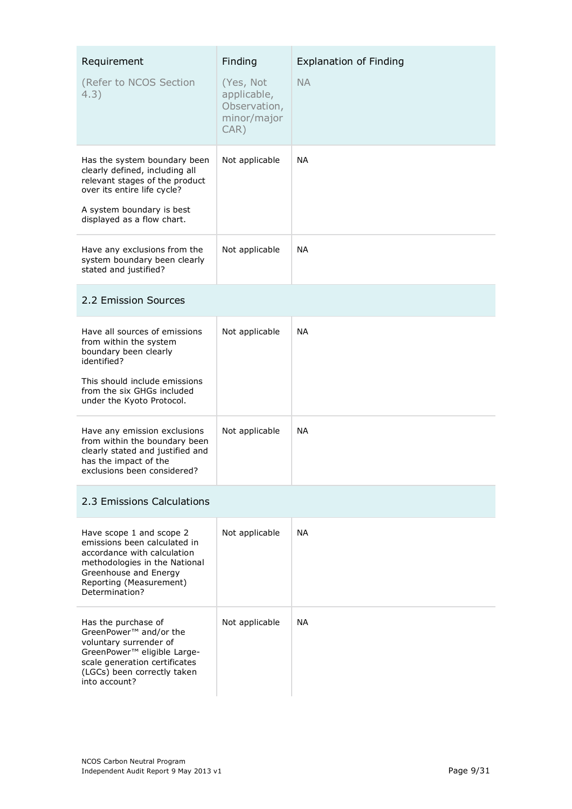| Requirement<br>(Refer to NCOS Section<br>4.3)                                                                                                                                                       | Finding<br>(Yes, Not<br>applicable,<br>Observation,<br>minor/major<br>CAR) | <b>Explanation of Finding</b><br><b>NA</b> |
|-----------------------------------------------------------------------------------------------------------------------------------------------------------------------------------------------------|----------------------------------------------------------------------------|--------------------------------------------|
| Has the system boundary been<br>clearly defined, including all<br>relevant stages of the product<br>over its entire life cycle?<br>A system boundary is best<br>displayed as a flow chart.          | Not applicable                                                             | <b>NA</b>                                  |
| Have any exclusions from the<br>system boundary been clearly<br>stated and justified?                                                                                                               | Not applicable                                                             | NA.                                        |
| 2.2 Emission Sources                                                                                                                                                                                |                                                                            |                                            |
| Have all sources of emissions<br>from within the system<br>boundary been clearly<br>identified?<br>This should include emissions<br>from the six GHGs included<br>under the Kyoto Protocol.         | Not applicable                                                             | <b>NA</b>                                  |
| Have any emission exclusions<br>from within the boundary been<br>clearly stated and justified and<br>has the impact of the<br>exclusions been considered?                                           | Not applicable                                                             | <b>NA</b>                                  |
| 2.3 Emissions Calculations                                                                                                                                                                          |                                                                            |                                            |
| Have scope 1 and scope 2<br>emissions been calculated in<br>accordance with calculation<br>methodologies in the National<br>Greenhouse and Energy<br>Reporting (Measurement)<br>Determination?      | Not applicable                                                             | <b>NA</b>                                  |
| Has the purchase of<br>GreenPower <sup>™</sup> and/or the<br>voluntary surrender of<br>GreenPower™ eligible Large-<br>scale generation certificates<br>(LGCs) been correctly taken<br>into account? | Not applicable                                                             | <b>NA</b>                                  |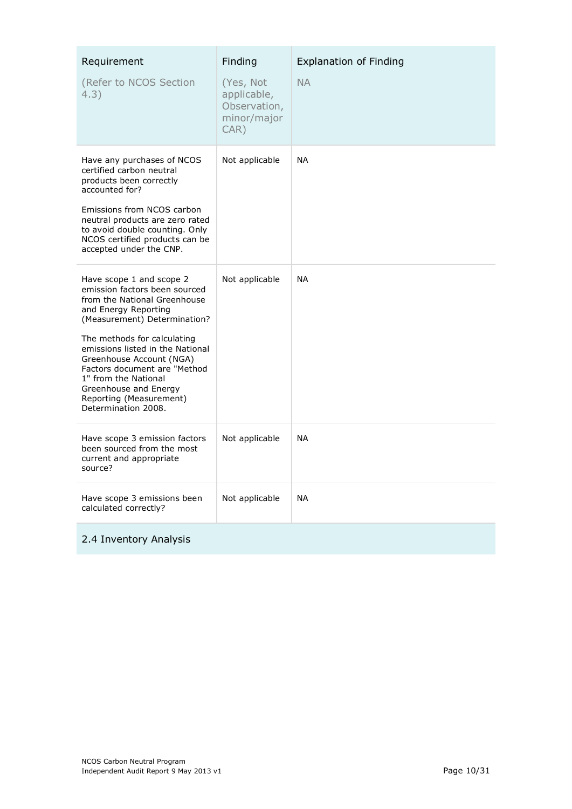| Requirement<br>(Refer to NCOS Section<br>4.3)                                                                                                                                                                                                                                                                                                                                       | Finding<br>(Yes, Not<br>applicable,<br>Observation,<br>minor/major<br>CAR) | <b>Explanation of Finding</b><br><b>NA</b> |
|-------------------------------------------------------------------------------------------------------------------------------------------------------------------------------------------------------------------------------------------------------------------------------------------------------------------------------------------------------------------------------------|----------------------------------------------------------------------------|--------------------------------------------|
| Have any purchases of NCOS<br>certified carbon neutral<br>products been correctly<br>accounted for?<br>Emissions from NCOS carbon<br>neutral products are zero rated<br>to avoid double counting. Only<br>NCOS certified products can be<br>accepted under the CNP.                                                                                                                 | Not applicable                                                             | <b>NA</b>                                  |
| Have scope 1 and scope 2<br>emission factors been sourced<br>from the National Greenhouse<br>and Energy Reporting<br>(Measurement) Determination?<br>The methods for calculating<br>emissions listed in the National<br>Greenhouse Account (NGA)<br>Factors document are "Method<br>1" from the National<br>Greenhouse and Energy<br>Reporting (Measurement)<br>Determination 2008. | Not applicable                                                             | <b>NA</b>                                  |
| Have scope 3 emission factors<br>been sourced from the most<br>current and appropriate<br>source?                                                                                                                                                                                                                                                                                   | Not applicable                                                             | <b>NA</b>                                  |
| Have scope 3 emissions been<br>calculated correctly?                                                                                                                                                                                                                                                                                                                                | Not applicable                                                             | <b>NA</b>                                  |
| 2.4 Inventory Analysis                                                                                                                                                                                                                                                                                                                                                              |                                                                            |                                            |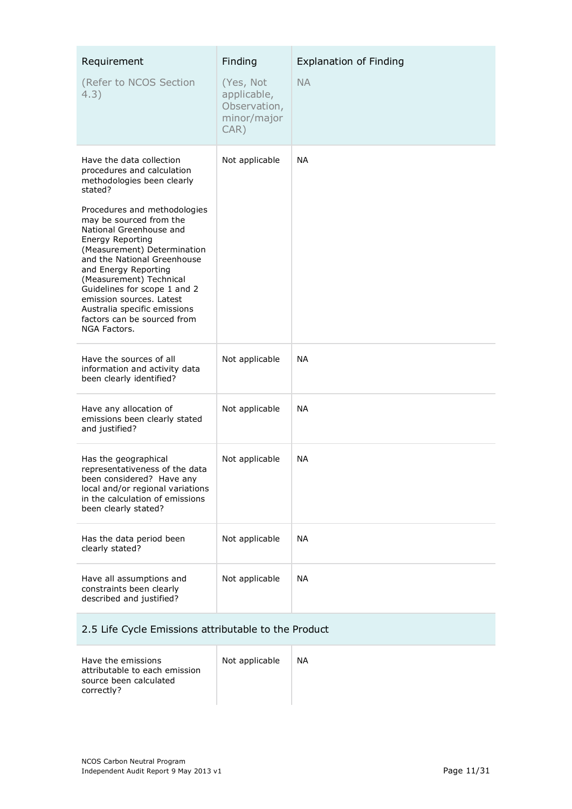| Requirement<br>(Refer to NCOS Section<br>4.3)                                                                                                                                                                                                                                                                                                                                                                                                                         | Finding<br>(Yes, Not<br>applicable,<br>Observation,<br>minor/major<br>CAR) | <b>Explanation of Finding</b><br><b>NA</b> |
|-----------------------------------------------------------------------------------------------------------------------------------------------------------------------------------------------------------------------------------------------------------------------------------------------------------------------------------------------------------------------------------------------------------------------------------------------------------------------|----------------------------------------------------------------------------|--------------------------------------------|
| Have the data collection<br>procedures and calculation<br>methodologies been clearly<br>stated?<br>Procedures and methodologies<br>may be sourced from the<br>National Greenhouse and<br>Energy Reporting<br>(Measurement) Determination<br>and the National Greenhouse<br>and Energy Reporting<br>(Measurement) Technical<br>Guidelines for scope 1 and 2<br>emission sources. Latest<br>Australia specific emissions<br>factors can be sourced from<br>NGA Factors. | Not applicable                                                             | <b>NA</b>                                  |
| Have the sources of all<br>information and activity data<br>been clearly identified?                                                                                                                                                                                                                                                                                                                                                                                  | Not applicable                                                             | <b>NA</b>                                  |
| Have any allocation of<br>emissions been clearly stated<br>and justified?                                                                                                                                                                                                                                                                                                                                                                                             | Not applicable                                                             | <b>NA</b>                                  |
| Has the geographical<br>representativeness of the data<br>been considered? Have any<br>local and/or regional variations<br>in the calculation of emissions<br>been clearly stated?                                                                                                                                                                                                                                                                                    | Not applicable                                                             | <b>NA</b>                                  |
| Has the data period been<br>clearly stated?                                                                                                                                                                                                                                                                                                                                                                                                                           | Not applicable                                                             | <b>NA</b>                                  |
| Have all assumptions and<br>constraints been clearly<br>described and justified?                                                                                                                                                                                                                                                                                                                                                                                      | Not applicable                                                             | <b>NA</b>                                  |

## 2.5 Life Cycle Emissions attributable to the Product

| Have the emissions<br>attributable to each emission<br>source been calculated<br>correctly? | Not applicable | NА |
|---------------------------------------------------------------------------------------------|----------------|----|
|                                                                                             |                |    |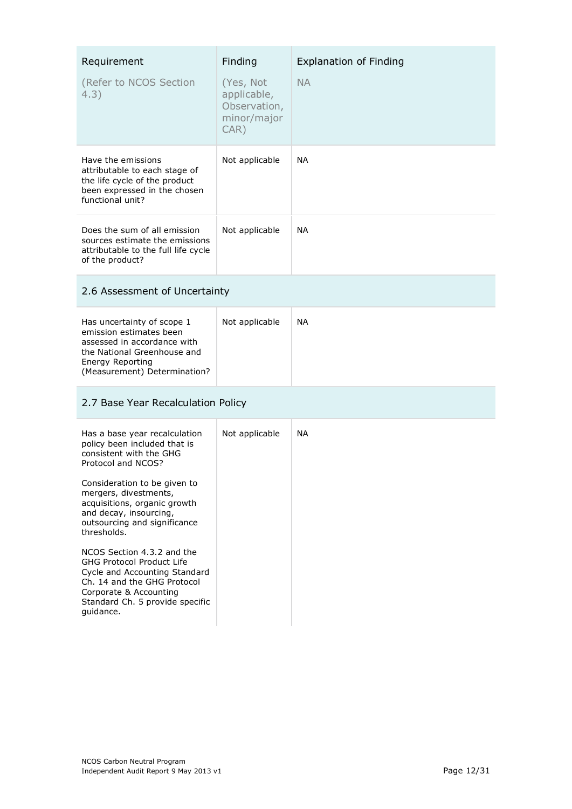| Requirement<br>(Refer to NCOS Section<br>4.3)                                                                                                                                                                                                                                                                                                                                                                                                                                         | Finding<br>(Yes, Not<br>applicable,<br>Observation,<br>minor/major<br>$CAR$ ) | <b>Explanation of Finding</b><br><b>NA</b> |
|---------------------------------------------------------------------------------------------------------------------------------------------------------------------------------------------------------------------------------------------------------------------------------------------------------------------------------------------------------------------------------------------------------------------------------------------------------------------------------------|-------------------------------------------------------------------------------|--------------------------------------------|
| Have the emissions<br>attributable to each stage of<br>the life cycle of the product<br>been expressed in the chosen<br>functional unit?                                                                                                                                                                                                                                                                                                                                              | Not applicable                                                                | <b>NA</b>                                  |
| Does the sum of all emission<br>sources estimate the emissions<br>attributable to the full life cycle<br>of the product?                                                                                                                                                                                                                                                                                                                                                              | Not applicable                                                                | <b>NA</b>                                  |
| 2.6 Assessment of Uncertainty                                                                                                                                                                                                                                                                                                                                                                                                                                                         |                                                                               |                                            |
| Has uncertainty of scope 1<br>emission estimates been<br>assessed in accordance with<br>the National Greenhouse and<br><b>Energy Reporting</b><br>(Measurement) Determination?                                                                                                                                                                                                                                                                                                        | Not applicable                                                                | <b>NA</b>                                  |
| 2.7 Base Year Recalculation Policy                                                                                                                                                                                                                                                                                                                                                                                                                                                    |                                                                               |                                            |
| Has a base year recalculation<br>policy been included that is<br>consistent with the GHG<br>Protocol and NCOS?<br>Consideration to be given to<br>mergers, divestments,<br>acquisitions, organic growth<br>and decay, insourcing,<br>outsourcing and significance<br>thresholds.<br>NCOS Section 4.3.2 and the<br>GHG Protocol Product Life<br>Cycle and Accounting Standard<br>Ch. 14 and the GHG Protocol<br>Corporate & Accounting<br>Standard Ch. 5 provide specific<br>guidance. | Not applicable                                                                | <b>NA</b>                                  |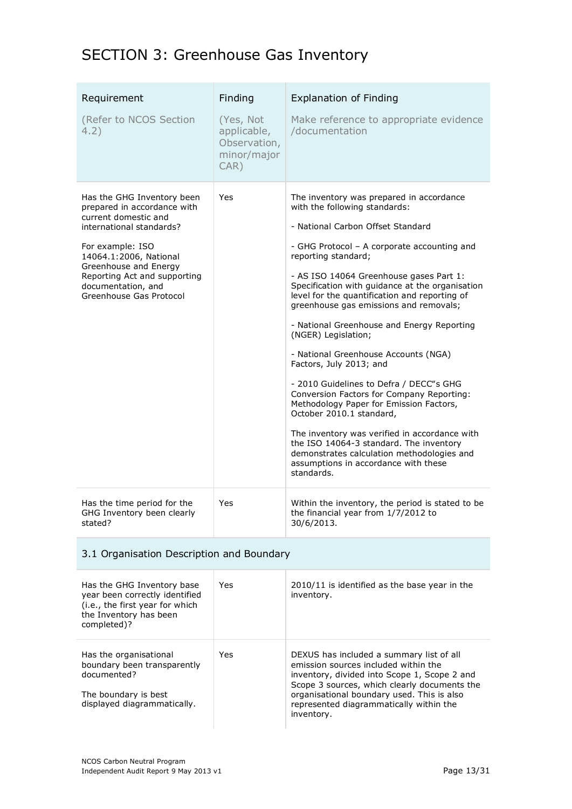## SECTION 3: Greenhouse Gas Inventory

| Requirement<br>(Refer to NCOS Section<br>4.2)                                                                                                                                                                                                                         | Finding<br>(Yes, Not<br>applicable,<br>Observation,<br>minor/major<br>CAR) | <b>Explanation of Finding</b><br>Make reference to appropriate evidence<br>/documentation                                                                                                                                                                                                                                                                                                                                                                                                                                                                                                                                                                                                                                                                                                                                                                                            |
|-----------------------------------------------------------------------------------------------------------------------------------------------------------------------------------------------------------------------------------------------------------------------|----------------------------------------------------------------------------|--------------------------------------------------------------------------------------------------------------------------------------------------------------------------------------------------------------------------------------------------------------------------------------------------------------------------------------------------------------------------------------------------------------------------------------------------------------------------------------------------------------------------------------------------------------------------------------------------------------------------------------------------------------------------------------------------------------------------------------------------------------------------------------------------------------------------------------------------------------------------------------|
| Has the GHG Inventory been<br>prepared in accordance with<br>current domestic and<br>international standards?<br>For example: ISO<br>14064.1:2006, National<br>Greenhouse and Energy<br>Reporting Act and supporting<br>documentation, and<br>Greenhouse Gas Protocol | Yes                                                                        | The inventory was prepared in accordance<br>with the following standards:<br>- National Carbon Offset Standard<br>- GHG Protocol - A corporate accounting and<br>reporting standard;<br>- AS ISO 14064 Greenhouse gases Part 1:<br>Specification with guidance at the organisation<br>level for the quantification and reporting of<br>greenhouse gas emissions and removals;<br>- National Greenhouse and Energy Reporting<br>(NGER) Legislation;<br>- National Greenhouse Accounts (NGA)<br>Factors, July 2013; and<br>- 2010 Guidelines to Defra / DECC"s GHG<br>Conversion Factors for Company Reporting:<br>Methodology Paper for Emission Factors,<br>October 2010.1 standard,<br>The inventory was verified in accordance with<br>the ISO 14064-3 standard. The inventory<br>demonstrates calculation methodologies and<br>assumptions in accordance with these<br>standards. |
| Has the time period for the<br>GHG Inventory been clearly<br>stated?                                                                                                                                                                                                  | Yes                                                                        | Within the inventory, the period is stated to be<br>the financial year from 1/7/2012 to<br>30/6/2013.                                                                                                                                                                                                                                                                                                                                                                                                                                                                                                                                                                                                                                                                                                                                                                                |

### 3.1 Organisation Description and Boundary

| Has the GHG Inventory base<br>year been correctly identified<br>(i.e., the first year for which<br>the Inventory has been<br>completed)? | <b>Yes</b> | 2010/11 is identified as the base year in the<br>inventory.                                                                                                                                                                                                                             |
|------------------------------------------------------------------------------------------------------------------------------------------|------------|-----------------------------------------------------------------------------------------------------------------------------------------------------------------------------------------------------------------------------------------------------------------------------------------|
| Has the organisational<br>boundary been transparently<br>documented?<br>The boundary is best<br>displayed diagrammatically.              | <b>Yes</b> | DEXUS has included a summary list of all<br>emission sources included within the<br>inventory, divided into Scope 1, Scope 2 and<br>Scope 3 sources, which clearly documents the<br>organisational boundary used. This is also<br>represented diagrammatically within the<br>inventory. |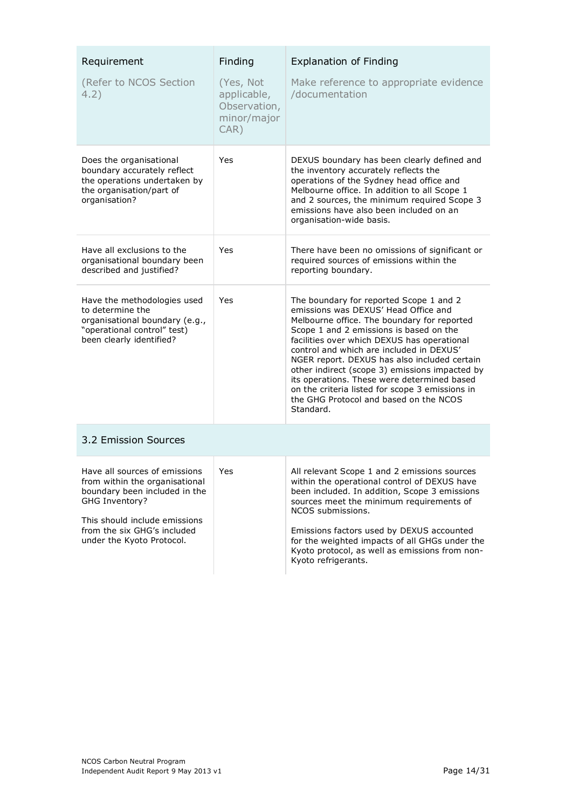| Requirement<br>(Refer to NCOS Section<br>4.2)                                                                                                                                                                   | Finding<br>(Yes, Not<br>applicable,<br>Observation,<br>minor/major<br>CAR) | <b>Explanation of Finding</b><br>Make reference to appropriate evidence<br>/documentation                                                                                                                                                                                                                                                                                                                                                                                                                                       |
|-----------------------------------------------------------------------------------------------------------------------------------------------------------------------------------------------------------------|----------------------------------------------------------------------------|---------------------------------------------------------------------------------------------------------------------------------------------------------------------------------------------------------------------------------------------------------------------------------------------------------------------------------------------------------------------------------------------------------------------------------------------------------------------------------------------------------------------------------|
| Does the organisational<br>boundary accurately reflect<br>the operations undertaken by<br>the organisation/part of<br>organisation?                                                                             | Yes                                                                        | DEXUS boundary has been clearly defined and<br>the inventory accurately reflects the<br>operations of the Sydney head office and<br>Melbourne office. In addition to all Scope 1<br>and 2 sources, the minimum required Scope 3<br>emissions have also been included on an<br>organisation-wide basis.                                                                                                                                                                                                                          |
| Have all exclusions to the<br>organisational boundary been<br>described and justified?                                                                                                                          | Yes                                                                        | There have been no omissions of significant or<br>required sources of emissions within the<br>reporting boundary.                                                                                                                                                                                                                                                                                                                                                                                                               |
| Have the methodologies used<br>to determine the<br>organisational boundary (e.g.,<br>"operational control" test)<br>been clearly identified?                                                                    | Yes                                                                        | The boundary for reported Scope 1 and 2<br>emissions was DFXUS' Head Office and<br>Melbourne office. The boundary for reported<br>Scope 1 and 2 emissions is based on the<br>facilities over which DEXUS has operational<br>control and which are included in DEXUS'<br>NGER report. DEXUS has also included certain<br>other indirect (scope 3) emissions impacted by<br>its operations. These were determined based<br>on the criteria listed for scope 3 emissions in<br>the GHG Protocol and based on the NCOS<br>Standard. |
| 3.2 Emission Sources                                                                                                                                                                                            |                                                                            |                                                                                                                                                                                                                                                                                                                                                                                                                                                                                                                                 |
| Have all sources of emissions<br>from within the organisational<br>boundary been included in the<br>GHG Inventory?<br>This should include emissions<br>from the six GHG's included<br>under the Kyoto Protocol. | Yes                                                                        | All relevant Scope 1 and 2 emissions sources<br>within the operational control of DEXUS have<br>been included. In addition, Scope 3 emissions<br>sources meet the minimum requirements of<br>NCOS submissions.<br>Emissions factors used by DEXUS accounted<br>for the weighted impacts of all GHGs under the<br>Kyoto protocol, as well as emissions from non-<br>Kyoto refrigerants.                                                                                                                                          |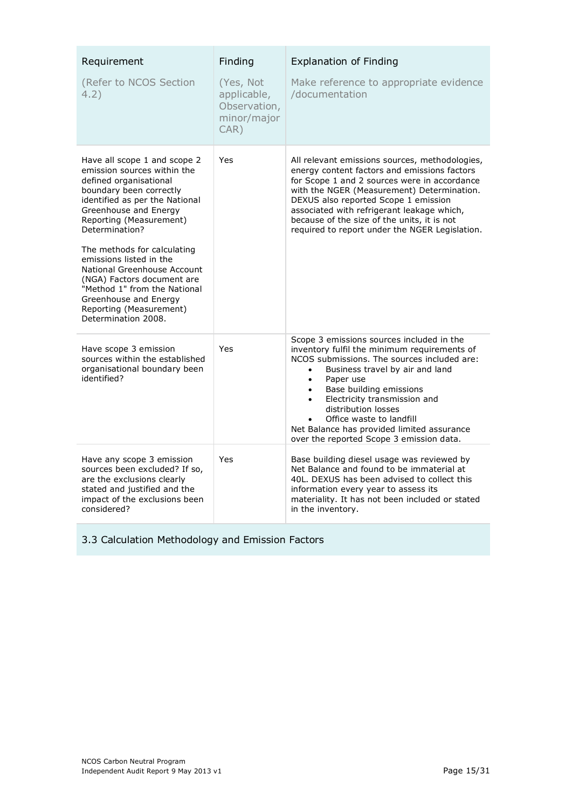| Requirement                                                                                                                                                                                                                                                                                                                                                                                                                                                | Finding                                                            | <b>Explanation of Finding</b>                                                                                                                                                                                                                                                                                                                                                                                              |
|------------------------------------------------------------------------------------------------------------------------------------------------------------------------------------------------------------------------------------------------------------------------------------------------------------------------------------------------------------------------------------------------------------------------------------------------------------|--------------------------------------------------------------------|----------------------------------------------------------------------------------------------------------------------------------------------------------------------------------------------------------------------------------------------------------------------------------------------------------------------------------------------------------------------------------------------------------------------------|
| (Refer to NCOS Section<br>4.2)                                                                                                                                                                                                                                                                                                                                                                                                                             | (Yes, Not<br>applicable,<br>Observation,<br>minor/major<br>$CAR$ ) | Make reference to appropriate evidence<br>/documentation                                                                                                                                                                                                                                                                                                                                                                   |
| Have all scope 1 and scope 2<br>emission sources within the<br>defined organisational<br>boundary been correctly<br>identified as per the National<br>Greenhouse and Energy<br>Reporting (Measurement)<br>Determination?<br>The methods for calculating<br>emissions listed in the<br>National Greenhouse Account<br>(NGA) Factors document are<br>"Method 1" from the National<br>Greenhouse and Energy<br>Reporting (Measurement)<br>Determination 2008. | Yes                                                                | All relevant emissions sources, methodologies,<br>energy content factors and emissions factors<br>for Scope 1 and 2 sources were in accordance<br>with the NGER (Measurement) Determination.<br>DEXUS also reported Scope 1 emission<br>associated with refrigerant leakage which,<br>because of the size of the units, it is not<br>required to report under the NGER Legislation.                                        |
| Have scope 3 emission<br>sources within the established<br>organisational boundary been<br>identified?                                                                                                                                                                                                                                                                                                                                                     | Yes                                                                | Scope 3 emissions sources included in the<br>inventory fulfil the minimum requirements of<br>NCOS submissions. The sources included are:<br>Business travel by air and land<br>Paper use<br>$\bullet$<br>Base building emissions<br>Electricity transmission and<br>$\bullet$<br>distribution losses<br>Office waste to landfill<br>Net Balance has provided limited assurance<br>over the reported Scope 3 emission data. |
| Have any scope 3 emission<br>sources been excluded? If so,<br>are the exclusions clearly<br>stated and justified and the<br>impact of the exclusions been<br>considered?                                                                                                                                                                                                                                                                                   | Yes                                                                | Base building diesel usage was reviewed by<br>Net Balance and found to be immaterial at<br>40L. DEXUS has been advised to collect this<br>information every year to assess its<br>materiality. It has not been included or stated<br>in the inventory.                                                                                                                                                                     |

3.3 Calculation Methodology and Emission Factors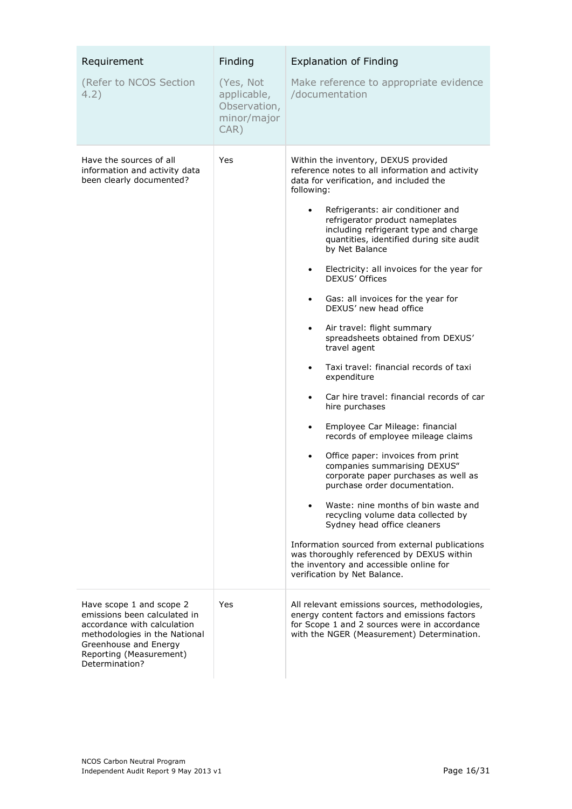| Requirement<br>(Refer to NCOS Section<br>4.2)                                                                                                                                                  | Finding<br>(Yes, Not<br>applicable,<br>Observation,<br>minor/major<br>CAR) | <b>Explanation of Finding</b><br>Make reference to appropriate evidence<br>/documentation                                                                                                                                                                                                                                                                                                                                                                                                                                                                                                                                                                                                                                                                                                                                                                                                                                                                                                                                                                                                                                                                                                                                                                                               |
|------------------------------------------------------------------------------------------------------------------------------------------------------------------------------------------------|----------------------------------------------------------------------------|-----------------------------------------------------------------------------------------------------------------------------------------------------------------------------------------------------------------------------------------------------------------------------------------------------------------------------------------------------------------------------------------------------------------------------------------------------------------------------------------------------------------------------------------------------------------------------------------------------------------------------------------------------------------------------------------------------------------------------------------------------------------------------------------------------------------------------------------------------------------------------------------------------------------------------------------------------------------------------------------------------------------------------------------------------------------------------------------------------------------------------------------------------------------------------------------------------------------------------------------------------------------------------------------|
| Have the sources of all<br>information and activity data<br>been clearly documented?                                                                                                           | Yes                                                                        | Within the inventory, DEXUS provided<br>reference notes to all information and activity<br>data for verification, and included the<br>following:<br>Refrigerants: air conditioner and<br>$\bullet$<br>refrigerator product nameplates<br>including refrigerant type and charge<br>quantities, identified during site audit<br>by Net Balance<br>Electricity: all invoices for the year for<br>$\bullet$<br>DEXUS' Offices<br>Gas: all invoices for the year for<br>$\bullet$<br>DEXUS' new head office<br>Air travel: flight summary<br>$\bullet$<br>spreadsheets obtained from DEXUS'<br>travel agent<br>Taxi travel: financial records of taxi<br>٠<br>expenditure<br>Car hire travel: financial records of car<br>$\bullet$<br>hire purchases<br>Employee Car Mileage: financial<br>$\bullet$<br>records of employee mileage claims<br>Office paper: invoices from print<br>companies summarising DEXUS"<br>corporate paper purchases as well as<br>purchase order documentation.<br>Waste: nine months of bin waste and<br>$\bullet$<br>recycling volume data collected by<br>Sydney head office cleaners<br>Information sourced from external publications<br>was thoroughly referenced by DEXUS within<br>the inventory and accessible online for<br>verification by Net Balance. |
| Have scope 1 and scope 2<br>emissions been calculated in<br>accordance with calculation<br>methodologies in the National<br>Greenhouse and Energy<br>Reporting (Measurement)<br>Determination? | Yes                                                                        | All relevant emissions sources, methodologies,<br>energy content factors and emissions factors<br>for Scope 1 and 2 sources were in accordance<br>with the NGER (Measurement) Determination.                                                                                                                                                                                                                                                                                                                                                                                                                                                                                                                                                                                                                                                                                                                                                                                                                                                                                                                                                                                                                                                                                            |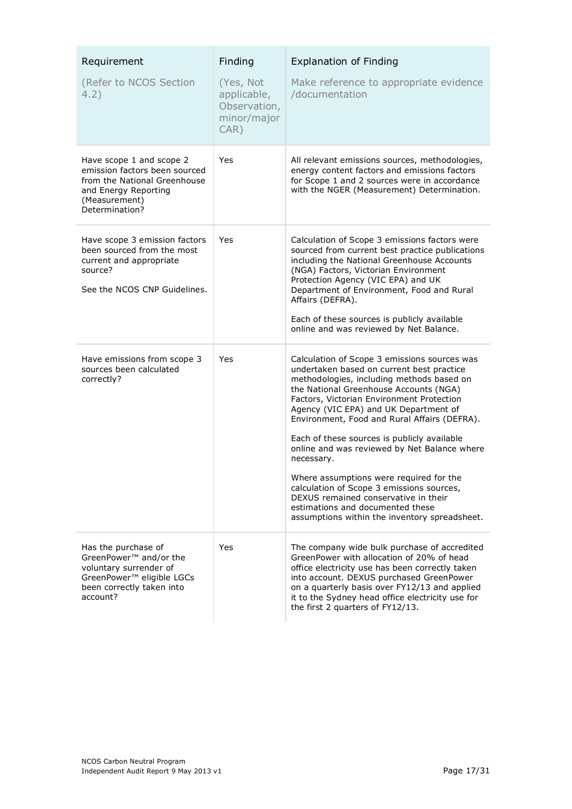| Requirement                                                                                                                                               | Finding                                                         | <b>Explanation of Finding</b>                                                                                                                                                                                                                                                                                                                                                                                                                                                                                                                                                                                                                            |
|-----------------------------------------------------------------------------------------------------------------------------------------------------------|-----------------------------------------------------------------|----------------------------------------------------------------------------------------------------------------------------------------------------------------------------------------------------------------------------------------------------------------------------------------------------------------------------------------------------------------------------------------------------------------------------------------------------------------------------------------------------------------------------------------------------------------------------------------------------------------------------------------------------------|
| (Refer to NCOS Section<br>4.2)                                                                                                                            | (Yes, Not<br>applicable,<br>Observation,<br>minor/major<br>CAR) | Make reference to appropriate evidence<br>/documentation                                                                                                                                                                                                                                                                                                                                                                                                                                                                                                                                                                                                 |
| Have scope 1 and scope 2<br>emission factors been sourced<br>from the National Greenhouse<br>and Energy Reporting<br>(Measurement)<br>Determination?      | Yes                                                             | All relevant emissions sources, methodologies,<br>energy content factors and emissions factors<br>for Scope 1 and 2 sources were in accordance<br>with the NGER (Measurement) Determination.                                                                                                                                                                                                                                                                                                                                                                                                                                                             |
| Have scope 3 emission factors<br>been sourced from the most<br>current and appropriate<br>source?<br>See the NCOS CNP Guidelines.                         | Yes                                                             | Calculation of Scope 3 emissions factors were<br>sourced from current best practice publications<br>including the National Greenhouse Accounts<br>(NGA) Factors, Victorian Environment<br>Protection Agency (VIC EPA) and UK<br>Department of Environment, Food and Rural<br>Affairs (DEFRA).<br>Each of these sources is publicly available<br>online and was reviewed by Net Balance.                                                                                                                                                                                                                                                                  |
| Have emissions from scope 3<br>sources been calculated<br>correctly?                                                                                      | Yes                                                             | Calculation of Scope 3 emissions sources was<br>undertaken based on current best practice<br>methodologies, including methods based on<br>the National Greenhouse Accounts (NGA)<br>Factors, Victorian Environment Protection<br>Agency (VIC EPA) and UK Department of<br>Environment, Food and Rural Affairs (DEFRA).<br>Each of these sources is publicly available<br>online and was reviewed by Net Balance where<br>necessary.<br>Where assumptions were required for the<br>calculation of Scope 3 emissions sources,<br>DEXUS remained conservative in their<br>estimations and documented these<br>assumptions within the inventory spreadsheet. |
| Has the purchase of<br>GreenPower <sup>™</sup> and/or the<br>voluntary surrender of<br>GreenPower™ eligible LGCs<br>been correctly taken into<br>account? | Yes                                                             | The company wide bulk purchase of accredited<br>GreenPower with allocation of 20% of head<br>office electricity use has been correctly taken<br>into account. DEXUS purchased GreenPower<br>on a quarterly basis over FY12/13 and applied<br>it to the Sydney head office electricity use for<br>the first 2 quarters of FY12/13.                                                                                                                                                                                                                                                                                                                        |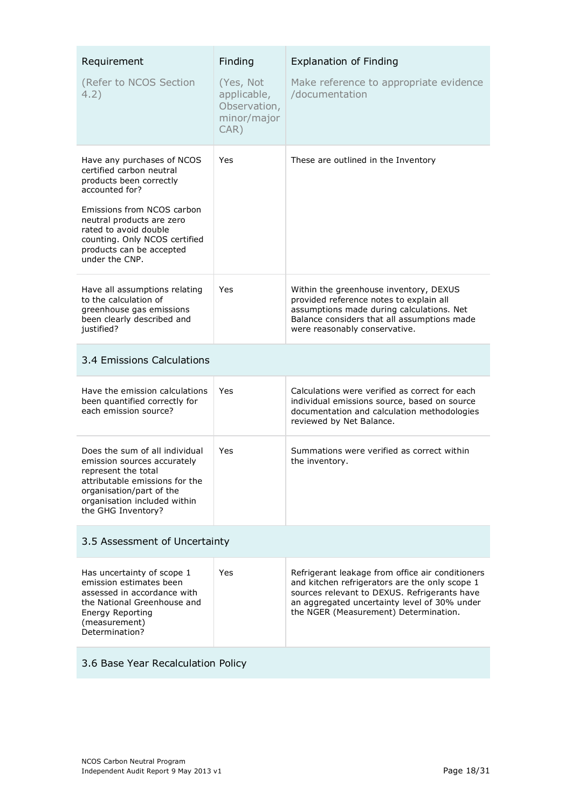| Requirement<br>(Refer to NCOS Section<br>4.2)                                                                                                                                                                                                                          | Finding<br>(Yes, Not<br>applicable,<br>Observation,<br>minor/major<br>$CAR$ ) | <b>Explanation of Finding</b><br>Make reference to appropriate evidence<br>/documentation                                                                                                                                                   |
|------------------------------------------------------------------------------------------------------------------------------------------------------------------------------------------------------------------------------------------------------------------------|-------------------------------------------------------------------------------|---------------------------------------------------------------------------------------------------------------------------------------------------------------------------------------------------------------------------------------------|
| Have any purchases of NCOS<br>certified carbon neutral<br>products been correctly<br>accounted for?<br>Emissions from NCOS carbon<br>neutral products are zero<br>rated to avoid double<br>counting. Only NCOS certified<br>products can be accepted<br>under the CNP. | Yes                                                                           | These are outlined in the Inventory                                                                                                                                                                                                         |
| Have all assumptions relating<br>to the calculation of<br>greenhouse gas emissions<br>been clearly described and<br>justified?                                                                                                                                         | Yes                                                                           | Within the greenhouse inventory, DEXUS<br>provided reference notes to explain all<br>assumptions made during calculations. Net<br>Balance considers that all assumptions made<br>were reasonably conservative.                              |
| 3.4 Emissions Calculations                                                                                                                                                                                                                                             |                                                                               |                                                                                                                                                                                                                                             |
| Have the emission calculations<br>been quantified correctly for<br>each emission source?                                                                                                                                                                               | Yes                                                                           | Calculations were verified as correct for each<br>individual emissions source, based on source<br>documentation and calculation methodologies<br>reviewed by Net Balance.                                                                   |
| Does the sum of all individual<br>emission sources accurately<br>represent the total<br>attributable emissions for the<br>organisation/part of the<br>organisation included within<br>the GHG Inventory?                                                               | Yes                                                                           | Summations were verified as correct within<br>the inventory.                                                                                                                                                                                |
| 3.5 Assessment of Uncertainty                                                                                                                                                                                                                                          |                                                                               |                                                                                                                                                                                                                                             |
| Has uncertainty of scope 1<br>emission estimates been<br>assessed in accordance with<br>the National Greenhouse and<br>Energy Reporting<br>(measurement)<br>Determination?                                                                                             | Yes                                                                           | Refrigerant leakage from office air conditioners<br>and kitchen refrigerators are the only scope 1<br>sources relevant to DEXUS. Refrigerants have<br>an aggregated uncertainty level of 30% under<br>the NGER (Measurement) Determination. |
| 3.6 Base Year Recalculation Policy                                                                                                                                                                                                                                     |                                                                               |                                                                                                                                                                                                                                             |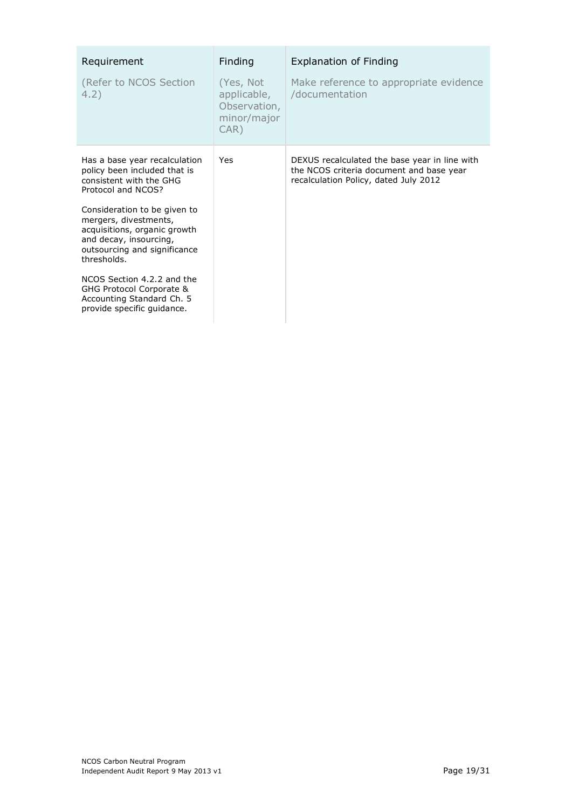| Requirement                                                                                                                                                                                                                                                                                                                                                                                           | Finding                                                         | <b>Explanation of Finding</b>                                                                                                      |
|-------------------------------------------------------------------------------------------------------------------------------------------------------------------------------------------------------------------------------------------------------------------------------------------------------------------------------------------------------------------------------------------------------|-----------------------------------------------------------------|------------------------------------------------------------------------------------------------------------------------------------|
| (Refer to NCOS Section<br>4.2)                                                                                                                                                                                                                                                                                                                                                                        | (Yes, Not<br>applicable,<br>Observation,<br>minor/major<br>CAR) | Make reference to appropriate evidence<br>/documentation                                                                           |
| Has a base year recalculation<br>policy been included that is<br>consistent with the GHG<br>Protocol and NCOS?<br>Consideration to be given to<br>mergers, divestments,<br>acquisitions, organic growth<br>and decay, insourcing,<br>outsourcing and significance<br>thresholds.<br>NCOS Section 4.2.2 and the<br>GHG Protocol Corporate &<br>Accounting Standard Ch. 5<br>provide specific quidance. | Yes                                                             | DEXUS recalculated the base year in line with<br>the NCOS criteria document and base year<br>recalculation Policy, dated July 2012 |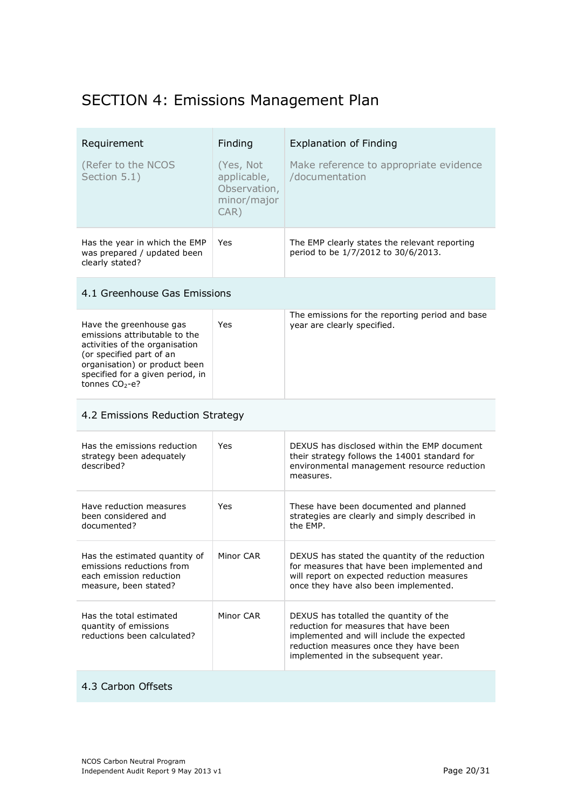## SECTION 4: Emissions Management Plan

| Requirement<br>(Refer to the NCOS<br>Section 5.1)                               | Finding<br>(Yes, Not)<br>applicable,<br>Observation,<br>minor/major<br>$CAR$ ) | <b>Explanation of Finding</b><br>Make reference to appropriate evidence<br>/documentation |
|---------------------------------------------------------------------------------|--------------------------------------------------------------------------------|-------------------------------------------------------------------------------------------|
| Has the year in which the EMP<br>was prepared / updated been<br>clearly stated? | Yes                                                                            | The EMP clearly states the relevant reporting<br>period to be 1/7/2012 to 30/6/2013.      |

### 4.1 Greenhouse Gas Emissions

| Have the greenhouse gas<br>emissions attributable to the<br>activities of the organisation<br>(or specified part of an<br>organisation) or product been<br>specified for a given period, in<br>tonnes $CO2 - e$ ? | Yes | The emissions for the reporting period and base<br>year are clearly specified. |
|-------------------------------------------------------------------------------------------------------------------------------------------------------------------------------------------------------------------|-----|--------------------------------------------------------------------------------|
|                                                                                                                                                                                                                   |     |                                                                                |

### 4.2 Emissions Reduction Strategy

| Has the emissions reduction<br>strategy been adequately<br>described?                                          | Yes       | DEXUS has disclosed within the EMP document<br>their strategy follows the 14001 standard for<br>environmental management resource reduction<br>measures.                                                      |
|----------------------------------------------------------------------------------------------------------------|-----------|---------------------------------------------------------------------------------------------------------------------------------------------------------------------------------------------------------------|
| Have reduction measures<br>been considered and<br>documented?                                                  | Yes       | These have been documented and planned<br>strategies are clearly and simply described in<br>the FMP.                                                                                                          |
| Has the estimated quantity of<br>emissions reductions from<br>each emission reduction<br>measure, been stated? | Minor CAR | DEXUS has stated the quantity of the reduction<br>for measures that have been implemented and<br>will report on expected reduction measures<br>once they have also been implemented.                          |
| Has the total estimated<br>quantity of emissions<br>reductions been calculated?                                | Minor CAR | DEXUS has totalled the quantity of the<br>reduction for measures that have been<br>implemented and will include the expected<br>reduction measures once they have been<br>implemented in the subsequent year. |

#### 4.3 Carbon Offsets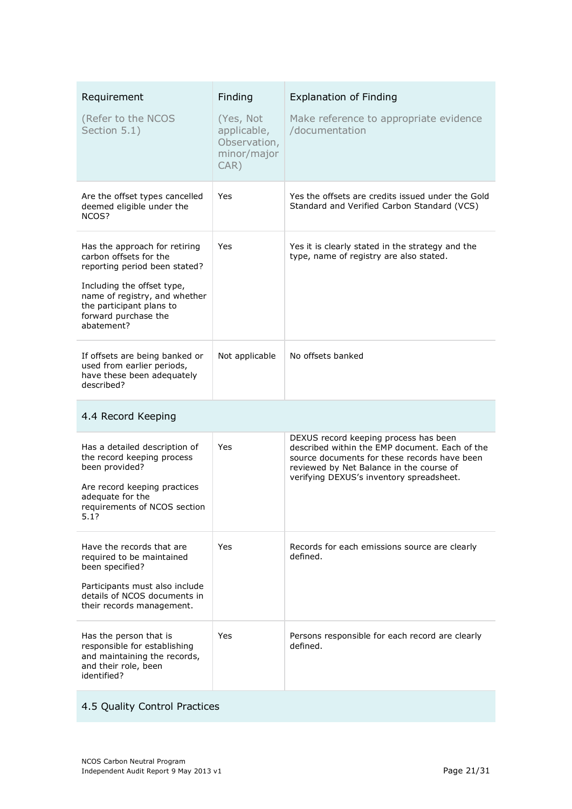| Requirement<br>(Refer to the NCOS<br>Section 5.1)                                                                                                                                                                         | Finding<br>(Yes, Not<br>applicable,<br>Observation,<br>minor/major<br>$CAR$ ) | <b>Explanation of Finding</b><br>Make reference to appropriate evidence<br>/documentation                                                                                                                                       |
|---------------------------------------------------------------------------------------------------------------------------------------------------------------------------------------------------------------------------|-------------------------------------------------------------------------------|---------------------------------------------------------------------------------------------------------------------------------------------------------------------------------------------------------------------------------|
| Are the offset types cancelled<br>deemed eligible under the<br>NCOS?                                                                                                                                                      | Yes                                                                           | Yes the offsets are credits issued under the Gold<br>Standard and Verified Carbon Standard (VCS)                                                                                                                                |
| Has the approach for retiring<br>carbon offsets for the<br>reporting period been stated?<br>Including the offset type,<br>name of registry, and whether<br>the participant plans to<br>forward purchase the<br>abatement? | Yes                                                                           | Yes it is clearly stated in the strategy and the<br>type, name of registry are also stated.                                                                                                                                     |
| If offsets are being banked or<br>used from earlier periods,<br>have these been adequately<br>described?                                                                                                                  | Not applicable                                                                | No offsets banked                                                                                                                                                                                                               |
| 4.4 Record Keeping                                                                                                                                                                                                        |                                                                               |                                                                                                                                                                                                                                 |
| Has a detailed description of<br>the record keeping process<br>been provided?<br>Are record keeping practices<br>adequate for the<br>requirements of NCOS section<br>5.17                                                 | Yes                                                                           | DEXUS record keeping process has been<br>described within the EMP document. Each of the<br>source documents for these records have been<br>reviewed by Net Balance in the course of<br>verifying DEXUS's inventory spreadsheet. |
| Have the records that are<br>required to be maintained<br>been specified?<br>Participants must also include<br>details of NCOS documents in<br>their records management.                                                  | Yes                                                                           | Records for each emissions source are clearly<br>defined.                                                                                                                                                                       |
| Has the person that is<br>responsible for establishing<br>and maintaining the records,<br>and their role, been<br>identified?                                                                                             | Yes                                                                           | Persons responsible for each record are clearly<br>defined.                                                                                                                                                                     |

## 4.5 Quality Control Practices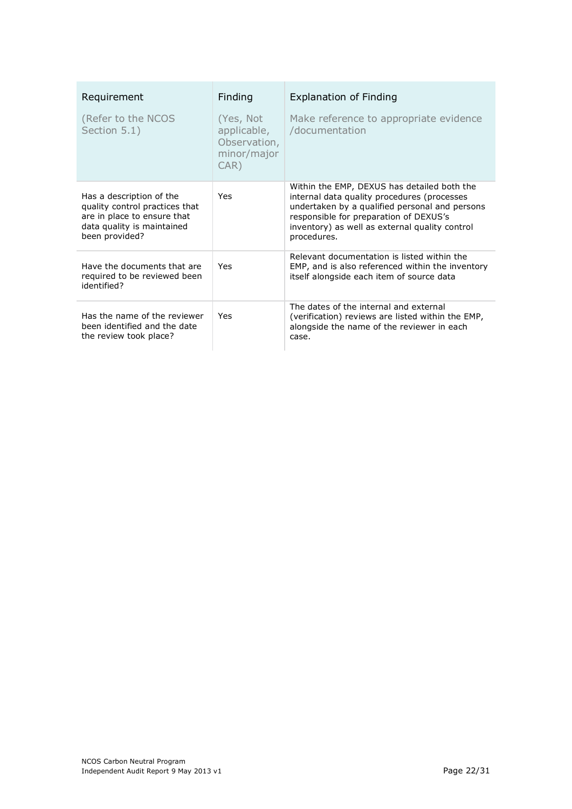| Requirement                                                                                                                               | Finding                                                         | <b>Explanation of Finding</b>                                                                                                                                                                                                                           |
|-------------------------------------------------------------------------------------------------------------------------------------------|-----------------------------------------------------------------|---------------------------------------------------------------------------------------------------------------------------------------------------------------------------------------------------------------------------------------------------------|
| (Refer to the NCOS<br>Section 5.1)                                                                                                        | (Yes, Not<br>applicable,<br>Observation,<br>minor/major<br>CAR) | Make reference to appropriate evidence<br>/documentation                                                                                                                                                                                                |
| Has a description of the<br>quality control practices that<br>are in place to ensure that<br>data quality is maintained<br>been provided? | <b>Yes</b>                                                      | Within the EMP, DEXUS has detailed both the<br>internal data quality procedures (processes<br>undertaken by a qualified personal and persons<br>responsible for preparation of DEXUS's<br>inventory) as well as external quality control<br>procedures. |
| Have the documents that are<br>required to be reviewed been<br>identified?                                                                | Yes                                                             | Relevant documentation is listed within the<br>EMP, and is also referenced within the inventory<br>itself alongside each item of source data                                                                                                            |
| Has the name of the reviewer<br>been identified and the date<br>the review took place?                                                    | Yes                                                             | The dates of the internal and external<br>(verification) reviews are listed within the EMP,<br>alongside the name of the reviewer in each<br>case.                                                                                                      |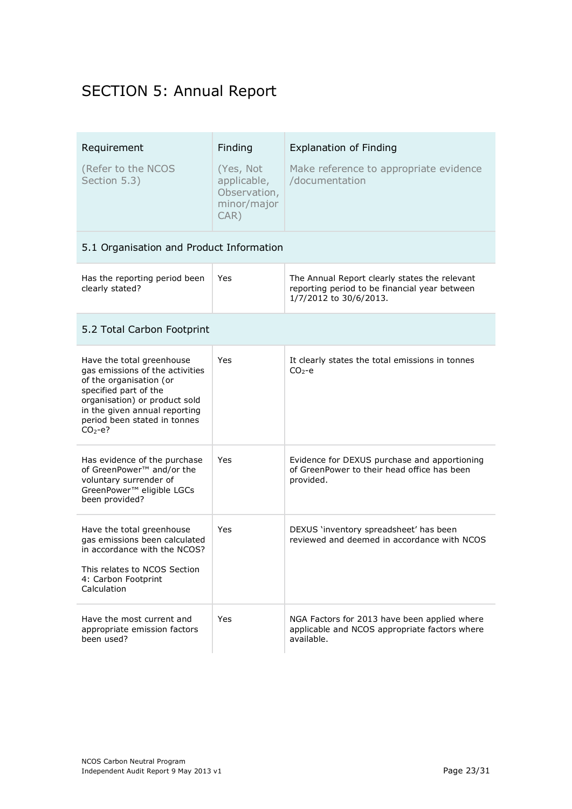## SECTION 5: Annual Report

| Requirement<br>(Refer to the NCOS<br>Section 5.3)                                                                                                                                                                              | Finding<br>(Yes, Not<br>applicable,<br>Observation,<br>minor/major<br>$CAR$ ) | <b>Explanation of Finding</b><br>Make reference to appropriate evidence<br>/documentation                                |
|--------------------------------------------------------------------------------------------------------------------------------------------------------------------------------------------------------------------------------|-------------------------------------------------------------------------------|--------------------------------------------------------------------------------------------------------------------------|
| 5.1 Organisation and Product Information                                                                                                                                                                                       |                                                                               |                                                                                                                          |
| Has the reporting period been<br>clearly stated?                                                                                                                                                                               | Yes                                                                           | The Annual Report clearly states the relevant<br>reporting period to be financial year between<br>1/7/2012 to 30/6/2013. |
| 5.2 Total Carbon Footprint                                                                                                                                                                                                     |                                                                               |                                                                                                                          |
| Have the total greenhouse<br>gas emissions of the activities<br>of the organisation (or<br>specified part of the<br>organisation) or product sold<br>in the given annual reporting<br>period been stated in tonnes<br>$CO2-e?$ | Yes                                                                           | It clearly states the total emissions in tonnes<br>$CO2 - e$                                                             |
| Has evidence of the purchase<br>of GreenPower <sup>™</sup> and/or the<br>voluntary surrender of<br>GreenPower™ eligible LGCs<br>been provided?                                                                                 | Yes                                                                           | Evidence for DEXUS purchase and apportioning<br>of GreenPower to their head office has been<br>provided.                 |
| Have the total greenhouse<br>gas emissions been calculated<br>in accordance with the NCOS?<br>This relates to NCOS Section<br>4: Carbon Footprint<br>Calculation                                                               | Yes                                                                           | DEXUS 'inventory spreadsheet' has been<br>reviewed and deemed in accordance with NCOS                                    |
| Have the most current and<br>appropriate emission factors<br>been used?                                                                                                                                                        | Yes                                                                           | NGA Factors for 2013 have been applied where<br>applicable and NCOS appropriate factors where<br>available.              |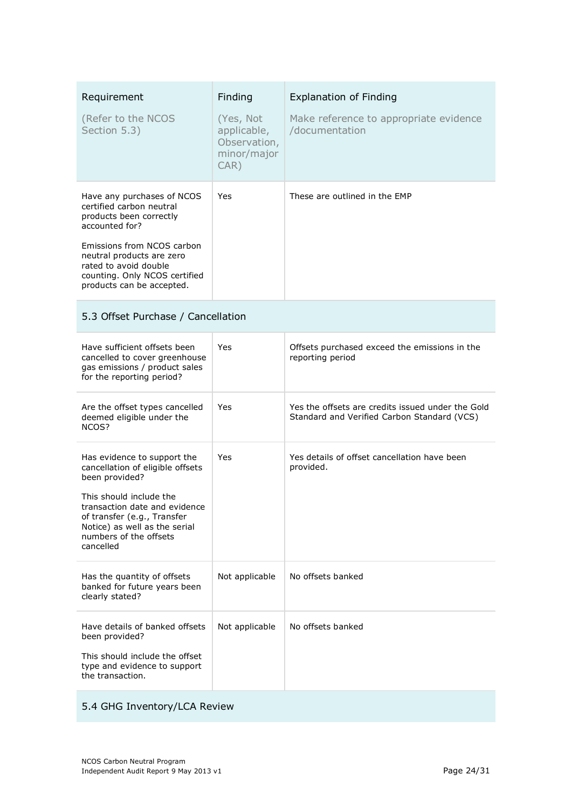| Requirement<br>(Refer to the NCOS<br>Section 5.3)                                                                                                                                                                                                     | Finding<br>(Yes, Not<br>applicable,<br>Observation,<br>minor/major<br>$CAR$ ) | <b>Explanation of Finding</b><br>Make reference to appropriate evidence<br>/documentation        |
|-------------------------------------------------------------------------------------------------------------------------------------------------------------------------------------------------------------------------------------------------------|-------------------------------------------------------------------------------|--------------------------------------------------------------------------------------------------|
| Have any purchases of NCOS<br>certified carbon neutral<br>products been correctly<br>accounted for?<br>Emissions from NCOS carbon<br>neutral products are zero<br>rated to avoid double<br>counting. Only NCOS certified<br>products can be accepted. | Yes                                                                           | These are outlined in the EMP                                                                    |
| 5.3 Offset Purchase / Cancellation                                                                                                                                                                                                                    |                                                                               |                                                                                                  |
| Have sufficient offsets been<br>cancelled to cover greenhouse<br>gas emissions / product sales<br>for the reporting period?                                                                                                                           | Yes                                                                           | Offsets purchased exceed the emissions in the<br>reporting period                                |
| Are the offset types cancelled<br>deemed eligible under the<br>NCOS?                                                                                                                                                                                  | Yes                                                                           | Yes the offsets are credits issued under the Gold<br>Standard and Verified Carbon Standard (VCS) |
| Has evidence to support the<br>cancellation of eligible offsets<br>been provided?<br>This should include the<br>transaction date and evidence<br>of transfer (e.g., Transfer<br>Notice) as well as the serial<br>numbers of the offsets<br>cancelled  | Yes                                                                           | Yes details of offset cancellation have been<br>provided.                                        |
| Has the quantity of offsets<br>banked for future years been<br>clearly stated?                                                                                                                                                                        | Not applicable                                                                | No offsets banked                                                                                |
| Have details of banked offsets<br>been provided?<br>This should include the offset<br>type and evidence to support<br>the transaction.                                                                                                                | Not applicable                                                                | No offsets banked                                                                                |

## 5.4 GHG Inventory/LCA Review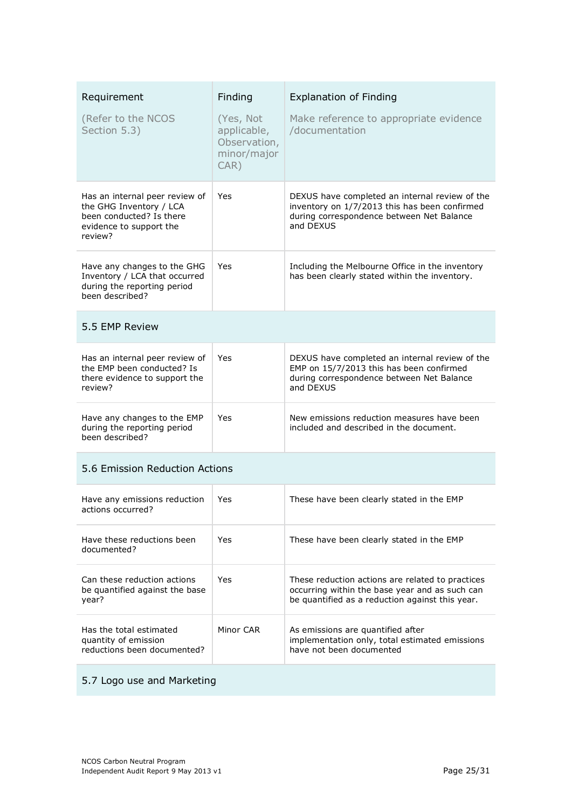| Requirement                                                                                                                 | Finding                                                            | <b>Explanation of Finding</b>                                                                                                                             |
|-----------------------------------------------------------------------------------------------------------------------------|--------------------------------------------------------------------|-----------------------------------------------------------------------------------------------------------------------------------------------------------|
| (Refer to the NCOS<br>Section 5.3)                                                                                          | (Yes, Not<br>applicable,<br>Observation,<br>minor/major<br>$CAR$ ) | Make reference to appropriate evidence<br>/documentation                                                                                                  |
| Has an internal peer review of<br>the GHG Inventory / LCA<br>been conducted? Is there<br>evidence to support the<br>review? | Yes                                                                | DEXUS have completed an internal review of the<br>inventory on 1/7/2013 this has been confirmed<br>during correspondence between Net Balance<br>and DEXUS |
| Have any changes to the GHG<br>Inventory / LCA that occurred<br>during the reporting period<br>been described?              | Yes                                                                | Including the Melbourne Office in the inventory<br>has been clearly stated within the inventory.                                                          |
| 5.5 EMP Review                                                                                                              |                                                                    |                                                                                                                                                           |
| Has an internal peer review of<br>the EMP been conducted? Is<br>there evidence to support the<br>review?                    | Yes                                                                | DEXUS have completed an internal review of the<br>EMP on 15/7/2013 this has been confirmed<br>during correspondence between Net Balance<br>and DEXUS      |
| Have any changes to the EMP<br>during the reporting period<br>been described?                                               | Yes                                                                | New emissions reduction measures have been<br>included and described in the document.                                                                     |
| 5.6 Emission Reduction Actions                                                                                              |                                                                    |                                                                                                                                                           |
| Have any emissions reduction<br>actions occurred?                                                                           | Yes                                                                | These have been clearly stated in the EMP                                                                                                                 |
| Have these reductions been<br>documented?                                                                                   | Yes                                                                | These have been clearly stated in the EMP                                                                                                                 |
| Can these reduction actions<br>be quantified against the base<br>year?                                                      | <b>Yes</b>                                                         | These reduction actions are related to practices<br>occurring within the base year and as such can<br>be quantified as a reduction against this year.     |
| Has the total estimated<br>quantity of emission<br>reductions been documented?                                              | Minor CAR                                                          | As emissions are quantified after<br>implementation only, total estimated emissions<br>have not been documented                                           |

## 5.7 Logo use and Marketing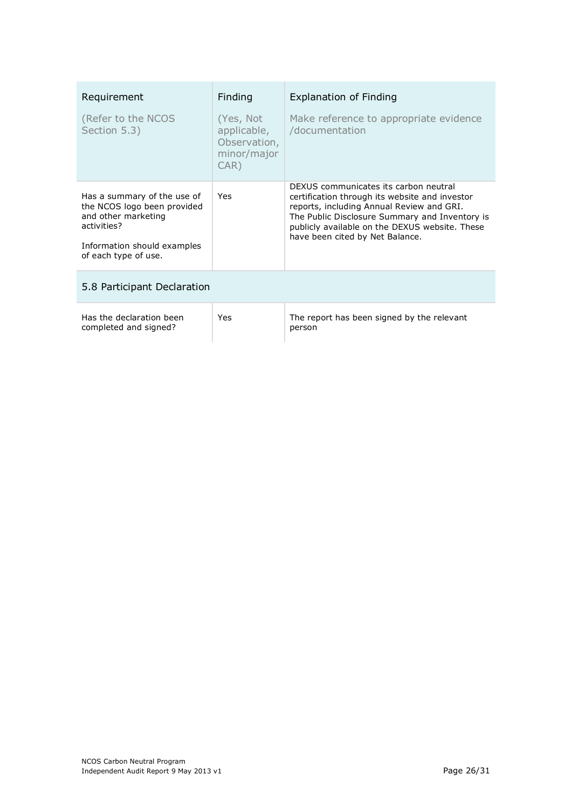| Requirement                                                                                                                                             | <b>Finding</b>                                                  | <b>Explanation of Finding</b>                                                                                                                                                                                                                                               |
|---------------------------------------------------------------------------------------------------------------------------------------------------------|-----------------------------------------------------------------|-----------------------------------------------------------------------------------------------------------------------------------------------------------------------------------------------------------------------------------------------------------------------------|
| (Refer to the NCOS<br>Section 5.3)                                                                                                                      | (Yes, Not<br>applicable,<br>Observation,<br>minor/major<br>CAR) | Make reference to appropriate evidence<br>/documentation                                                                                                                                                                                                                    |
| Has a summary of the use of<br>the NCOS logo been provided<br>and other marketing<br>activities?<br>Information should examples<br>of each type of use. | Yes                                                             | DEXUS communicates its carbon neutral<br>certification through its website and investor<br>reports, including Annual Review and GRI.<br>The Public Disclosure Summary and Inventory is<br>publicly available on the DEXUS website. These<br>have been cited by Net Balance. |
| 5.8 Participant Declaration                                                                                                                             |                                                                 |                                                                                                                                                                                                                                                                             |
| Has the declaration been<br>completed and signed?                                                                                                       | Yes                                                             | The report has been signed by the relevant<br>person                                                                                                                                                                                                                        |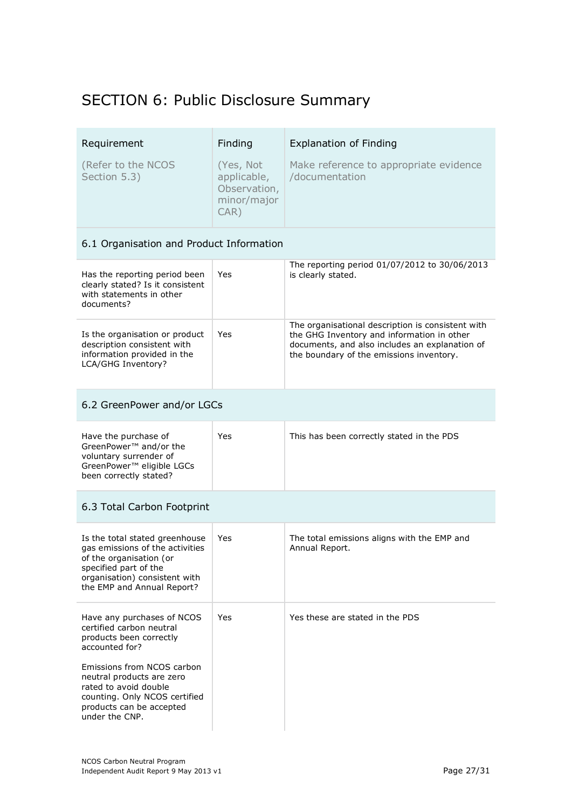## SECTION 6: Public Disclosure Summary

| Requirement<br>(Refer to the NCOS<br>Section 5.3)                                                                                                                                                                                                                      | Finding<br>(Yes, Not<br>applicable,<br>Observation,<br>minor/major<br>$CAR$ ) | <b>Explanation of Finding</b><br>Make reference to appropriate evidence<br>/documentation                                                                                                     |
|------------------------------------------------------------------------------------------------------------------------------------------------------------------------------------------------------------------------------------------------------------------------|-------------------------------------------------------------------------------|-----------------------------------------------------------------------------------------------------------------------------------------------------------------------------------------------|
| 6.1 Organisation and Product Information                                                                                                                                                                                                                               |                                                                               |                                                                                                                                                                                               |
| Has the reporting period been<br>clearly stated? Is it consistent<br>with statements in other<br>documents?                                                                                                                                                            | Yes                                                                           | The reporting period 01/07/2012 to 30/06/2013<br>is clearly stated.                                                                                                                           |
| Is the organisation or product<br>description consistent with<br>information provided in the<br>LCA/GHG Inventory?                                                                                                                                                     | Yes                                                                           | The organisational description is consistent with<br>the GHG Inventory and information in other<br>documents, and also includes an explanation of<br>the boundary of the emissions inventory. |
| 6.2 GreenPower and/or LGCs                                                                                                                                                                                                                                             |                                                                               |                                                                                                                                                                                               |
| Have the purchase of<br>GreenPower <sup>™</sup> and/or the<br>voluntary surrender of<br>GreenPower™ eligible LGCs<br>been correctly stated?                                                                                                                            | Yes                                                                           | This has been correctly stated in the PDS                                                                                                                                                     |
| 6.3 Total Carbon Footprint                                                                                                                                                                                                                                             |                                                                               |                                                                                                                                                                                               |
| Is the total stated greenhouse<br>gas emissions of the activities<br>of the organisation (or<br>specified part of the<br>organisation) consistent with<br>the EMP and Annual Report?                                                                                   | Yes                                                                           | The total emissions aligns with the EMP and<br>Annual Report.                                                                                                                                 |
| Have any purchases of NCOS<br>certified carbon neutral<br>products been correctly<br>accounted for?<br>Emissions from NCOS carbon<br>neutral products are zero<br>rated to avoid double<br>counting. Only NCOS certified<br>products can be accepted<br>under the CNP. | Yes                                                                           | Yes these are stated in the PDS                                                                                                                                                               |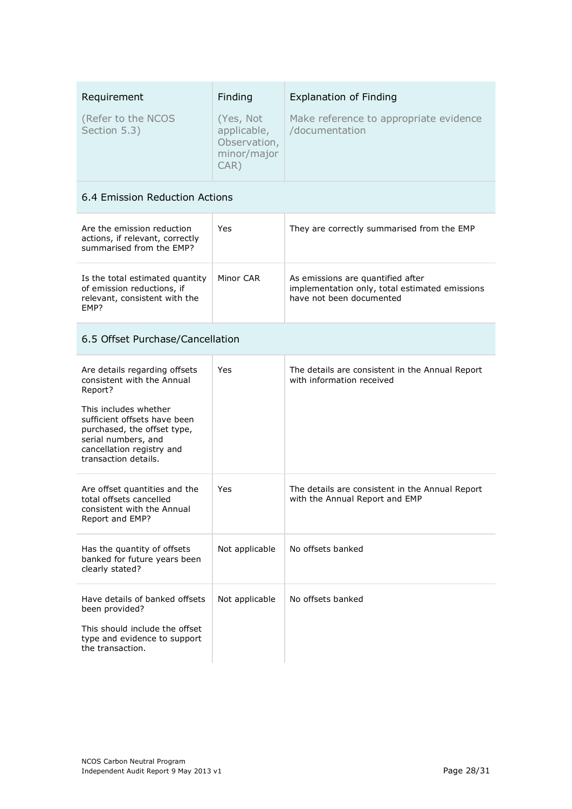| Requirement<br>(Refer to the NCOS<br>Section 5.3)                                                                                                                                                                                          | Finding<br>(Yes, Not<br>applicable,<br>Observation,<br>minor/major<br>$CAR$ ) | <b>Explanation of Finding</b><br>Make reference to appropriate evidence<br>/documentation                       |  |
|--------------------------------------------------------------------------------------------------------------------------------------------------------------------------------------------------------------------------------------------|-------------------------------------------------------------------------------|-----------------------------------------------------------------------------------------------------------------|--|
| 6.4 Emission Reduction Actions                                                                                                                                                                                                             |                                                                               |                                                                                                                 |  |
| Are the emission reduction<br>actions, if relevant, correctly<br>summarised from the EMP?                                                                                                                                                  | Yes                                                                           | They are correctly summarised from the EMP                                                                      |  |
| Is the total estimated quantity<br>of emission reductions, if<br>relevant, consistent with the<br>EMP?                                                                                                                                     | Minor CAR                                                                     | As emissions are quantified after<br>implementation only, total estimated emissions<br>have not been documented |  |
| 6.5 Offset Purchase/Cancellation                                                                                                                                                                                                           |                                                                               |                                                                                                                 |  |
| Are details regarding offsets<br>consistent with the Annual<br>Report?<br>This includes whether<br>sufficient offsets have been<br>purchased, the offset type,<br>serial numbers, and<br>cancellation registry and<br>transaction details. | Yes                                                                           | The details are consistent in the Annual Report<br>with information received                                    |  |
| Are offset quantities and the<br>total offsets cancelled<br>consistent with the Annual<br>Report and EMP?                                                                                                                                  | Yes                                                                           | The details are consistent in the Annual Report<br>with the Annual Report and EMP                               |  |
| Has the quantity of offsets<br>banked for future years been<br>clearly stated?                                                                                                                                                             | Not applicable                                                                | No offsets banked                                                                                               |  |
| Have details of banked offsets<br>been provided?<br>This should include the offset<br>type and evidence to support<br>the transaction.                                                                                                     | Not applicable                                                                | No offsets banked                                                                                               |  |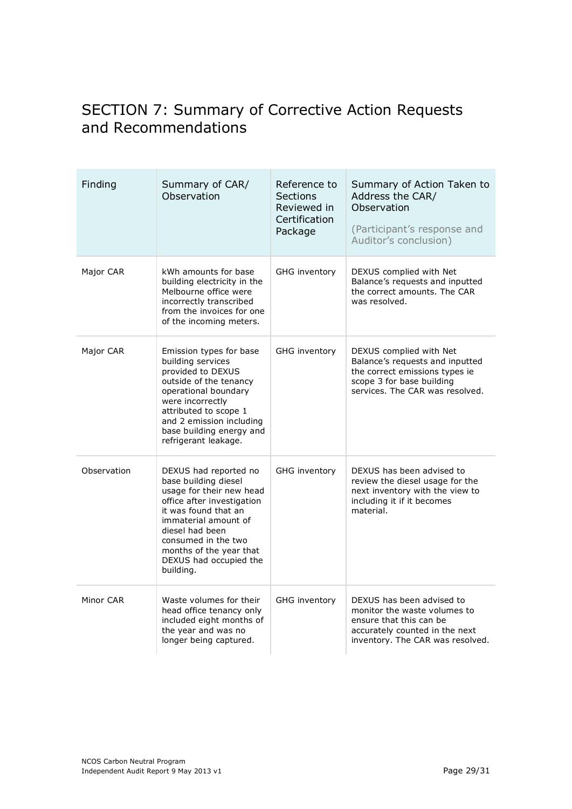## SECTION 7: Summary of Corrective Action Requests and Recommendations

| Finding     | Summary of CAR/<br>Observation                                                                                                                                                                                                                                      | Reference to<br>Sections<br>Reviewed in<br>Certification<br>Package | Summary of Action Taken to<br>Address the CAR/<br>Observation<br>(Participant's response and<br>Auditor's conclusion)                                        |
|-------------|---------------------------------------------------------------------------------------------------------------------------------------------------------------------------------------------------------------------------------------------------------------------|---------------------------------------------------------------------|--------------------------------------------------------------------------------------------------------------------------------------------------------------|
| Major CAR   | kWh amounts for base<br>building electricity in the<br>Melbourne office were<br>incorrectly transcribed<br>from the invoices for one<br>of the incoming meters.                                                                                                     | GHG inventory                                                       | DEXUS complied with Net<br>Balance's requests and inputted<br>the correct amounts. The CAR<br>was resolved.                                                  |
| Major CAR   | Emission types for base<br>building services<br>provided to DEXUS<br>outside of the tenancy<br>operational boundary<br>were incorrectly<br>attributed to scope 1<br>and 2 emission including<br>base building energy and<br>refrigerant leakage.                    | <b>GHG inventory</b>                                                | DEXUS complied with Net<br>Balance's requests and inputted<br>the correct emissions types ie<br>scope 3 for base building<br>services. The CAR was resolved. |
| Observation | DEXUS had reported no<br>base building diesel<br>usage for their new head<br>office after investigation<br>it was found that an<br>immaterial amount of<br>diesel had been<br>consumed in the two<br>months of the year that<br>DEXUS had occupied the<br>building. | <b>GHG inventory</b>                                                | DEXUS has been advised to<br>review the diesel usage for the<br>next inventory with the view to<br>including it if it becomes<br>material.                   |
| Minor CAR   | Waste volumes for their<br>head office tenancy only<br>included eight months of<br>the year and was no<br>longer being captured.                                                                                                                                    | <b>GHG inventory</b>                                                | DEXUS has been advised to<br>monitor the waste volumes to<br>ensure that this can be<br>accurately counted in the next<br>inventory. The CAR was resolved.   |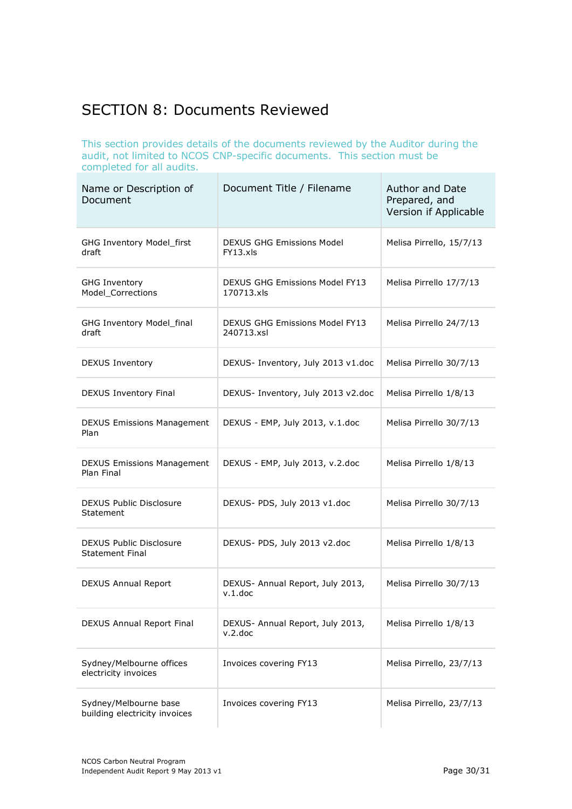## SECTION 8: Documents Reviewed

This section provides details of the documents reviewed by the Auditor during the audit, not limited to NCOS CNP-specific documents. This section must be completed for all audits.

| Name or Description of<br>Document                     | Document Title / Filename                           | <b>Author and Date</b><br>Prepared, and<br>Version if Applicable |
|--------------------------------------------------------|-----------------------------------------------------|------------------------------------------------------------------|
| GHG Inventory Model_first<br>draft                     | DEXUS GHG Emissions Model<br>FY13.xIs               | Melisa Pirrello, 15/7/13                                         |
| <b>GHG Inventory</b><br>Model Corrections              | <b>DEXUS GHG Emissions Model FY13</b><br>170713.xls | Melisa Pirrello 17/7/13                                          |
| GHG Inventory Model_final<br>draft                     | <b>DEXUS GHG Emissions Model FY13</b><br>240713.xsl | Melisa Pirrello 24/7/13                                          |
| <b>DEXUS Inventory</b>                                 | DEXUS- Inventory, July 2013 v1.doc                  | Melisa Pirrello 30/7/13                                          |
| DEXUS Inventory Final                                  | DEXUS- Inventory, July 2013 v2.doc                  | Melisa Pirrello 1/8/13                                           |
| <b>DEXUS Emissions Management</b><br>Plan              | DEXUS - EMP, July 2013, v.1.doc                     | Melisa Pirrello 30/7/13                                          |
| <b>DEXUS Emissions Management</b><br>Plan Final        | DEXUS - EMP, July 2013, v.2.doc                     | Melisa Pirrello 1/8/13                                           |
| DEXUS Public Disclosure<br>Statement                   | DEXUS- PDS, July 2013 v1.doc                        | Melisa Pirrello 30/7/13                                          |
| DEXUS Public Disclosure<br><b>Statement Final</b>      | DEXUS- PDS, July 2013 v2.doc                        | Melisa Pirrello 1/8/13                                           |
| <b>DEXUS Annual Report</b>                             | DEXUS- Annual Report, July 2013,<br>v.1.doc         | Melisa Pirrello 30/7/13                                          |
| DEXUS Annual Report Final                              | DEXUS- Annual Report, July 2013,<br>v.2.doc         | Melisa Pirrello 1/8/13                                           |
| Sydney/Melbourne offices<br>electricity invoices       | Invoices covering FY13                              | Melisa Pirrello, 23/7/13                                         |
| Sydney/Melbourne base<br>building electricity invoices | Invoices covering FY13                              | Melisa Pirrello, 23/7/13                                         |